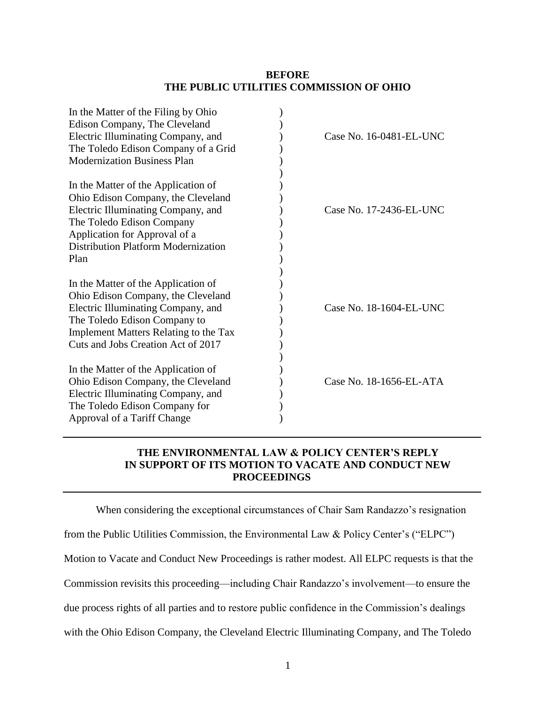## **BEFORE THE PUBLIC UTILITIES COMMISSION OF OHIO**

| In the Matter of the Filing by Ohio<br>Edison Company, The Cleveland                                                                                                                                                         |                         |
|------------------------------------------------------------------------------------------------------------------------------------------------------------------------------------------------------------------------------|-------------------------|
| Electric Illuminating Company, and                                                                                                                                                                                           | Case No. 16-0481-EL-UNC |
| The Toledo Edison Company of a Grid                                                                                                                                                                                          |                         |
| <b>Modernization Business Plan</b>                                                                                                                                                                                           |                         |
| In the Matter of the Application of<br>Ohio Edison Company, the Cleveland<br>Electric Illuminating Company, and<br>The Toledo Edison Company<br>Application for Approval of a<br>Distribution Platform Modernization<br>Plan | Case No. 17-2436-EL-UNC |
|                                                                                                                                                                                                                              |                         |
| In the Matter of the Application of<br>Ohio Edison Company, the Cleveland<br>Electric Illuminating Company, and<br>The Toledo Edison Company to                                                                              | Case No. 18-1604-EL-UNC |
| Implement Matters Relating to the Tax                                                                                                                                                                                        |                         |
| Cuts and Jobs Creation Act of 2017                                                                                                                                                                                           |                         |
| In the Matter of the Application of                                                                                                                                                                                          |                         |
| Ohio Edison Company, the Cleveland                                                                                                                                                                                           | Case No. 18-1656-EL-ATA |
| Electric Illuminating Company, and                                                                                                                                                                                           |                         |
| The Toledo Edison Company for                                                                                                                                                                                                |                         |
| Approval of a Tariff Change                                                                                                                                                                                                  |                         |
|                                                                                                                                                                                                                              |                         |

## **THE ENVIRONMENTAL LAW & POLICY CENTER'S REPLY IN SUPPORT OF ITS MOTION TO VACATE AND CONDUCT NEW PROCEEDINGS**

When considering the exceptional circumstances of Chair Sam Randazzo's resignation from the Public Utilities Commission, the Environmental Law & Policy Center's ("ELPC") Motion to Vacate and Conduct New Proceedings is rather modest. All ELPC requests is that the Commission revisits this proceeding—including Chair Randazzo's involvement—to ensure the due process rights of all parties and to restore public confidence in the Commission's dealings with the Ohio Edison Company, the Cleveland Electric Illuminating Company, and The Toledo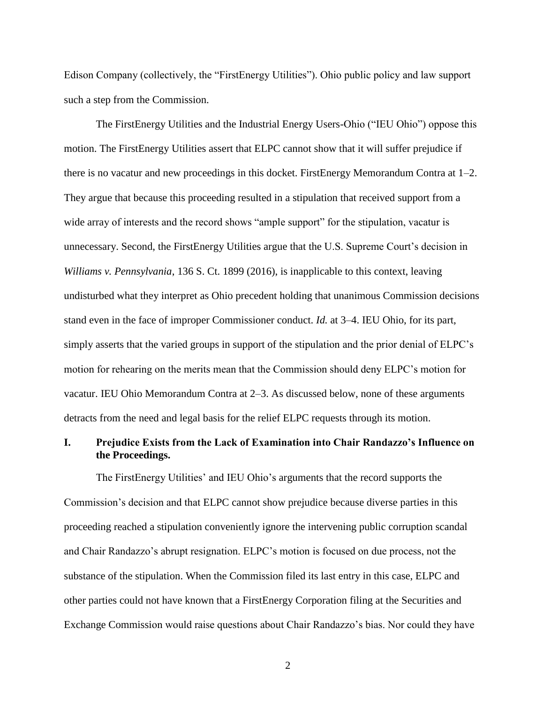Edison Company (collectively, the "FirstEnergy Utilities"). Ohio public policy and law support such a step from the Commission.

The FirstEnergy Utilities and the Industrial Energy Users-Ohio ("IEU Ohio") oppose this motion. The FirstEnergy Utilities assert that ELPC cannot show that it will suffer prejudice if there is no vacatur and new proceedings in this docket. FirstEnergy Memorandum Contra at 1–2. They argue that because this proceeding resulted in a stipulation that received support from a wide array of interests and the record shows "ample support" for the stipulation, vacatur is unnecessary. Second, the FirstEnergy Utilities argue that the U.S. Supreme Court's decision in *Williams v. Pennsylvania*, 136 S. Ct. 1899 (2016), is inapplicable to this context, leaving undisturbed what they interpret as Ohio precedent holding that unanimous Commission decisions stand even in the face of improper Commissioner conduct. *Id.* at 3–4. IEU Ohio, for its part, simply asserts that the varied groups in support of the stipulation and the prior denial of ELPC's motion for rehearing on the merits mean that the Commission should deny ELPC's motion for vacatur. IEU Ohio Memorandum Contra at 2–3. As discussed below, none of these arguments detracts from the need and legal basis for the relief ELPC requests through its motion.

## **I. Prejudice Exists from the Lack of Examination into Chair Randazzo's Influence on the Proceedings.**

The FirstEnergy Utilities' and IEU Ohio's arguments that the record supports the Commission's decision and that ELPC cannot show prejudice because diverse parties in this proceeding reached a stipulation conveniently ignore the intervening public corruption scandal and Chair Randazzo's abrupt resignation. ELPC's motion is focused on due process, not the substance of the stipulation. When the Commission filed its last entry in this case, ELPC and other parties could not have known that a FirstEnergy Corporation filing at the Securities and Exchange Commission would raise questions about Chair Randazzo's bias. Nor could they have

2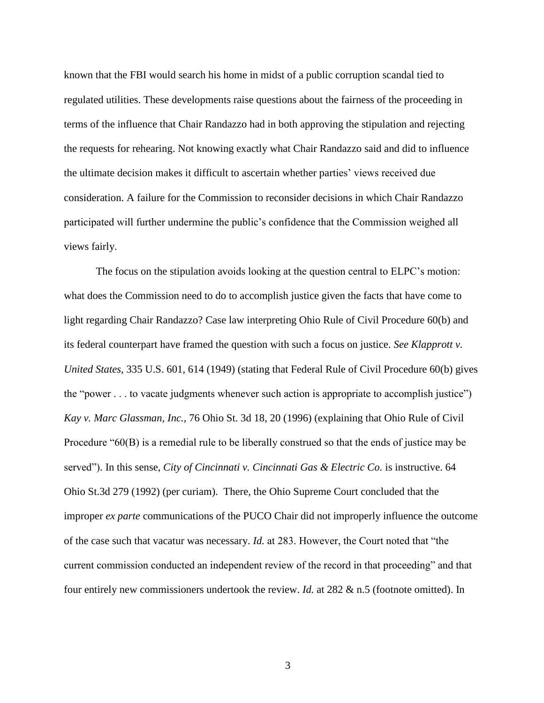known that the FBI would search his home in midst of a public corruption scandal tied to regulated utilities. These developments raise questions about the fairness of the proceeding in terms of the influence that Chair Randazzo had in both approving the stipulation and rejecting the requests for rehearing. Not knowing exactly what Chair Randazzo said and did to influence the ultimate decision makes it difficult to ascertain whether parties' views received due consideration. A failure for the Commission to reconsider decisions in which Chair Randazzo participated will further undermine the public's confidence that the Commission weighed all views fairly.

The focus on the stipulation avoids looking at the question central to ELPC's motion: what does the Commission need to do to accomplish justice given the facts that have come to light regarding Chair Randazzo? Case law interpreting Ohio Rule of Civil Procedure 60(b) and its federal counterpart have framed the question with such a focus on justice. *See Klapprott v. United States*, 335 U.S. 601, 614 (1949) (stating that Federal Rule of Civil Procedure 60(b) gives the "power . . . to vacate judgments whenever such action is appropriate to accomplish justice") *Kay v. Marc Glassman, Inc.*, 76 Ohio St. 3d 18, 20 (1996) (explaining that Ohio Rule of Civil Procedure "60(B) is a remedial rule to be liberally construed so that the ends of justice may be served"). In this sense, *City of Cincinnati v. Cincinnati Gas & Electric Co.* is instructive. 64 Ohio St.3d 279 (1992) (per curiam). There, the Ohio Supreme Court concluded that the improper *ex parte* communications of the PUCO Chair did not improperly influence the outcome of the case such that vacatur was necessary. *Id.* at 283. However, the Court noted that "the current commission conducted an independent review of the record in that proceeding" and that four entirely new commissioners undertook the review. *Id.* at 282 & n.5 (footnote omitted). In

3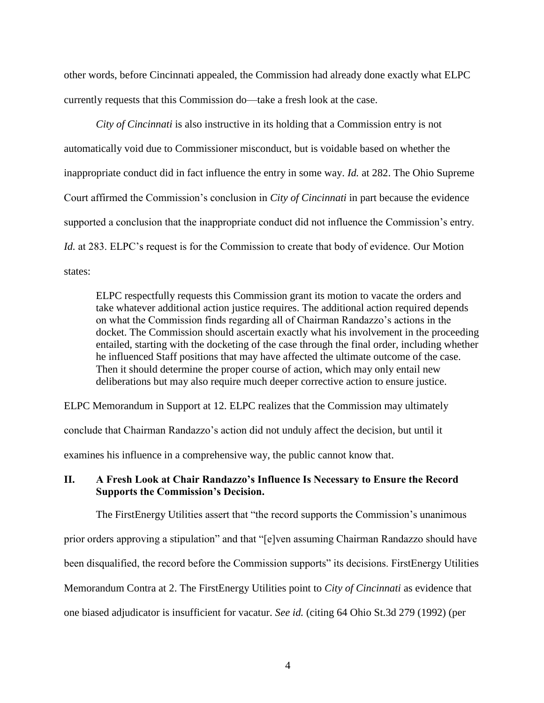other words, before Cincinnati appealed, the Commission had already done exactly what ELPC currently requests that this Commission do—take a fresh look at the case.

*City of Cincinnati* is also instructive in its holding that a Commission entry is not automatically void due to Commissioner misconduct, but is voidable based on whether the inappropriate conduct did in fact influence the entry in some way. *Id.* at 282. The Ohio Supreme Court affirmed the Commission's conclusion in *City of Cincinnati* in part because the evidence supported a conclusion that the inappropriate conduct did not influence the Commission's entry. *Id.* at 283. ELPC's request is for the Commission to create that body of evidence. Our Motion states:

ELPC respectfully requests this Commission grant its motion to vacate the orders and take whatever additional action justice requires. The additional action required depends on what the Commission finds regarding all of Chairman Randazzo's actions in the docket. The Commission should ascertain exactly what his involvement in the proceeding entailed, starting with the docketing of the case through the final order, including whether he influenced Staff positions that may have affected the ultimate outcome of the case. Then it should determine the proper course of action, which may only entail new deliberations but may also require much deeper corrective action to ensure justice.

ELPC Memorandum in Support at 12. ELPC realizes that the Commission may ultimately

conclude that Chairman Randazzo's action did not unduly affect the decision, but until it

examines his influence in a comprehensive way, the public cannot know that.

## **II. A Fresh Look at Chair Randazzo's Influence Is Necessary to Ensure the Record Supports the Commission's Decision.**

The FirstEnergy Utilities assert that "the record supports the Commission's unanimous prior orders approving a stipulation" and that "[e]ven assuming Chairman Randazzo should have been disqualified, the record before the Commission supports" its decisions. FirstEnergy Utilities Memorandum Contra at 2. The FirstEnergy Utilities point to *City of Cincinnati* as evidence that one biased adjudicator is insufficient for vacatur. *See id.* (citing 64 Ohio St.3d 279 (1992) (per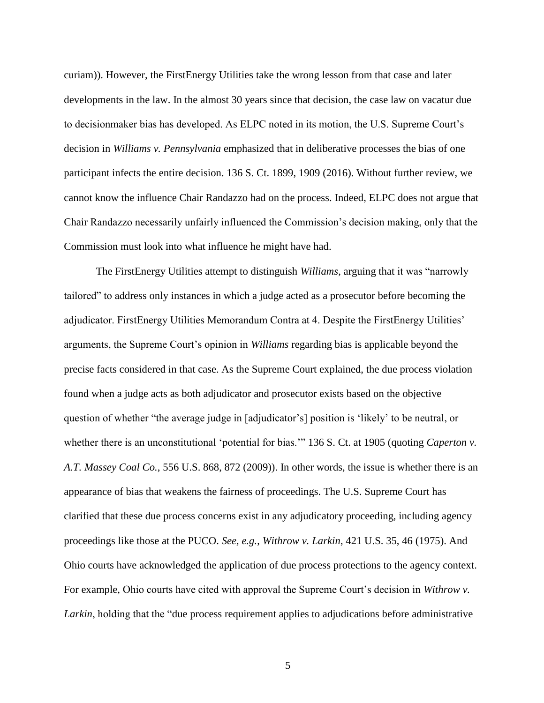curiam)). However, the FirstEnergy Utilities take the wrong lesson from that case and later developments in the law. In the almost 30 years since that decision, the case law on vacatur due to decisionmaker bias has developed. As ELPC noted in its motion, the U.S. Supreme Court's decision in *Williams v. Pennsylvania* emphasized that in deliberative processes the bias of one participant infects the entire decision. 136 S. Ct. 1899, 1909 (2016). Without further review, we cannot know the influence Chair Randazzo had on the process. Indeed, ELPC does not argue that Chair Randazzo necessarily unfairly influenced the Commission's decision making, only that the Commission must look into what influence he might have had.

The FirstEnergy Utilities attempt to distinguish *Williams*, arguing that it was "narrowly tailored" to address only instances in which a judge acted as a prosecutor before becoming the adjudicator. FirstEnergy Utilities Memorandum Contra at 4. Despite the FirstEnergy Utilities' arguments, the Supreme Court's opinion in *Williams* regarding bias is applicable beyond the precise facts considered in that case. As the Supreme Court explained, the due process violation found when a judge acts as both adjudicator and prosecutor exists based on the objective question of whether "the average judge in [adjudicator's] position is 'likely' to be neutral, or whether there is an unconstitutional 'potential for bias.'" 136 S. Ct. at 1905 (quoting *Caperton v. A.T. Massey Coal Co.*, 556 U.S. 868, 872 (2009)). In other words, the issue is whether there is an appearance of bias that weakens the fairness of proceedings. The U.S. Supreme Court has clarified that these due process concerns exist in any adjudicatory proceeding, including agency proceedings like those at the PUCO. *See, e.g.*, *Withrow v. Larkin*, 421 U.S. 35, 46 (1975). And Ohio courts have acknowledged the application of due process protections to the agency context. For example, Ohio courts have cited with approval the Supreme Court's decision in *Withrow v. Larkin*, holding that the "due process requirement applies to adjudications before administrative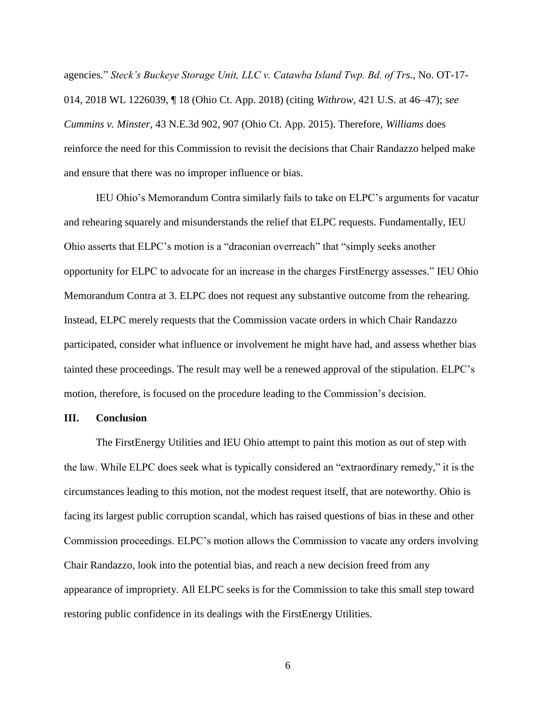agencies." *Steck's Buckeye Storage Unit, LLC v. Catawba Island Twp. Bd. of Trs.*, No. OT-17- 014, 2018 WL 1226039, ¶ 18 (Ohio Ct. App. 2018) (citing *Withrow*, 421 U.S. at 46–47); *see Cummins v. Minster*, 43 N.E.3d 902, 907 (Ohio Ct. App. 2015). Therefore, *Williams* does reinforce the need for this Commission to revisit the decisions that Chair Randazzo helped make and ensure that there was no improper influence or bias.

IEU Ohio's Memorandum Contra similarly fails to take on ELPC's arguments for vacatur and rehearing squarely and misunderstands the relief that ELPC requests. Fundamentally, IEU Ohio asserts that ELPC's motion is a "draconian overreach" that "simply seeks another opportunity for ELPC to advocate for an increase in the charges FirstEnergy assesses." IEU Ohio Memorandum Contra at 3. ELPC does not request any substantive outcome from the rehearing. Instead, ELPC merely requests that the Commission vacate orders in which Chair Randazzo participated, consider what influence or involvement he might have had, and assess whether bias tainted these proceedings. The result may well be a renewed approval of the stipulation. ELPC's motion, therefore, is focused on the procedure leading to the Commission's decision.

#### **III. Conclusion**

The FirstEnergy Utilities and IEU Ohio attempt to paint this motion as out of step with the law. While ELPC does seek what is typically considered an "extraordinary remedy," it is the circumstances leading to this motion, not the modest request itself, that are noteworthy. Ohio is facing its largest public corruption scandal, which has raised questions of bias in these and other Commission proceedings. ELPC's motion allows the Commission to vacate any orders involving Chair Randazzo, look into the potential bias, and reach a new decision freed from any appearance of impropriety. All ELPC seeks is for the Commission to take this small step toward restoring public confidence in its dealings with the FirstEnergy Utilities.

6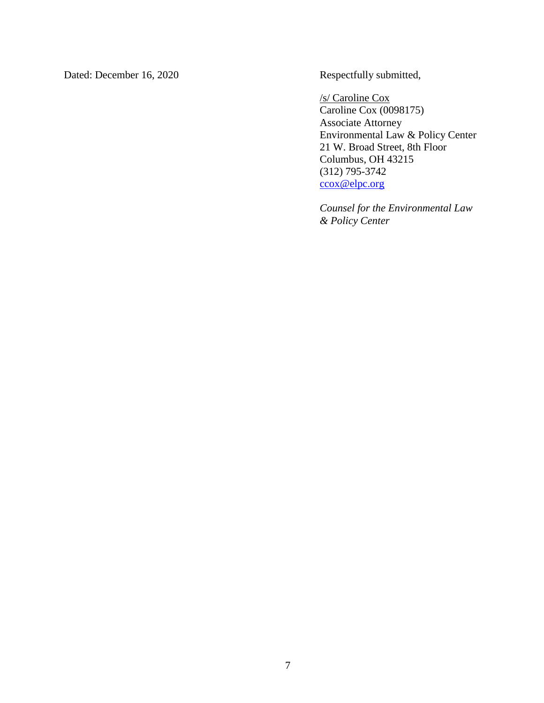Dated: December 16, 2020 Respectfully submitted,

/s/ Caroline Cox Caroline Cox (0098175) Associate Attorney Environmental Law & Policy Center 21 W. Broad Street, 8th Floor Columbus, OH 43215 (312) 795-3742 [ccox@elpc.org](mailto:ccox@elpc.org)

*Counsel for the Environmental Law & Policy Center*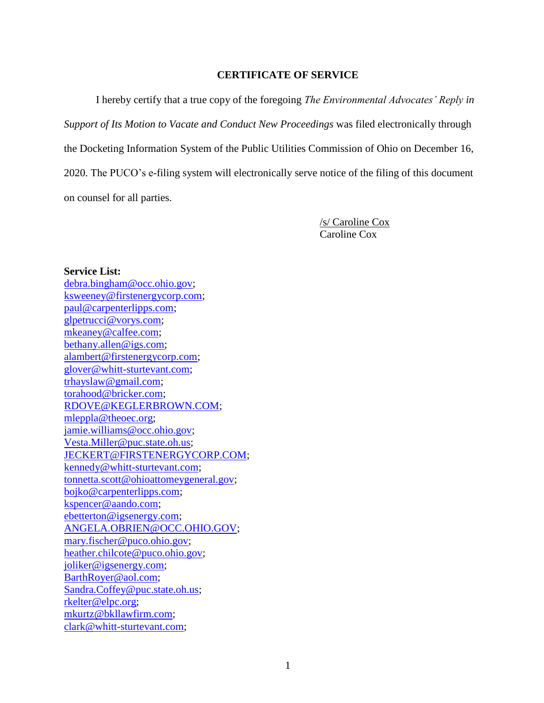### **CERTIFICATE OF SERVICE**

I hereby certify that a true copy of the foregoing *The Environmental Advocates' Reply in Support of Its Motion to Vacate and Conduct New Proceedings* was filed electronically through the Docketing Information System of the Public Utilities Commission of Ohio on December 16, 2020. The PUCO's e-filing system will electronically serve notice of the filing of this document on counsel for all parties.

> /s/ Caroline Cox Caroline Cox

#### **Service List:**

[debra.bingham@occ.ohio.gov;](mailto:debra.bingham@occ.ohio.gov) [ksweeney@firstenergycorp.com;](mailto:ksweeney@firstenergycorp.com) [paul@carpenterlipps.com;](mailto:paul@carpenterlipps.com) [glpetrucci@vorys.com;](mailto:glpetrucci@vorys.com) [mkeaney@calfee.com;](mailto:mkeaney@calfee.com) [bethany.allen@igs.com;](mailto:bethany.allen@igs.com) [alambert@firstenergycorp.com;](mailto:alambert@firstenergycorp.com) [glover@whitt-sturtevant.com;](mailto:glover@whitt-sturtevant.com) [trhayslaw@gmail.com;](mailto:trhayslaw@gmail.com) [torahood@bricker.com;](mailto:torahood@bricker.com) [RDOVE@KEGLERBROWN.COM;](mailto:RDOVE@KEGLERBROWN.COM) [mleppla@theoec.org;](mailto:mleppla@theoec.org) [jamie.williams@occ.ohio.gov;](mailto:jamie.williams@occ.ohio.gov) [Vesta.Miller@puc.state.oh.us;](mailto:Vesta.Miller@puc.state.oh.us) [JECKERT@FIRSTENERGYCORP.COM;](mailto:JECKERT@FIRSTENERGYCORP.COM) [kennedy@whitt-sturtevant.com;](mailto:kennedy@whitt-sturtevant.com) [tonnetta.scott@ohioattomeygeneral.gov;](mailto:tonnetta.scott@ohioattomeygeneral.gov) [bojko@carpenterlipps.com;](mailto:bojko@carpenterlipps.com) [kspencer@aando.com;](mailto:kspencer@aando.com) [ebetterton@igsenergy.com;](mailto:ebetterton@igsenergy.com) [ANGELA.OBRIEN@OCC.OHIO.GOV;](mailto:ANGELA.OBRIEN@OCC.OHIO.GOV) [mary.fischer@puco.ohio.gov;](mailto:mary.fischer@puco.ohio.gov) [heather.chilcote@puco.ohio.gov;](mailto:heather.chilcote@puco.ohio.gov) [joliker@igsenergy.com;](mailto:joliker@igsenergy.com) [BarthRoyer@aol.com;](mailto:BarthRoyer@aol.com) [Sandra.Coffey@puc.state.oh.us;](mailto:Sandra.Coffey@puc.state.oh.us) [rkelter@elpc.org;](mailto:rkelter@elpc.org) [mkurtz@bkllawfirm.com;](mailto:mkurtz@bkllawfirm.com) [clark@whitt-sturtevant.com;](mailto:clark@whitt-sturtevant.com)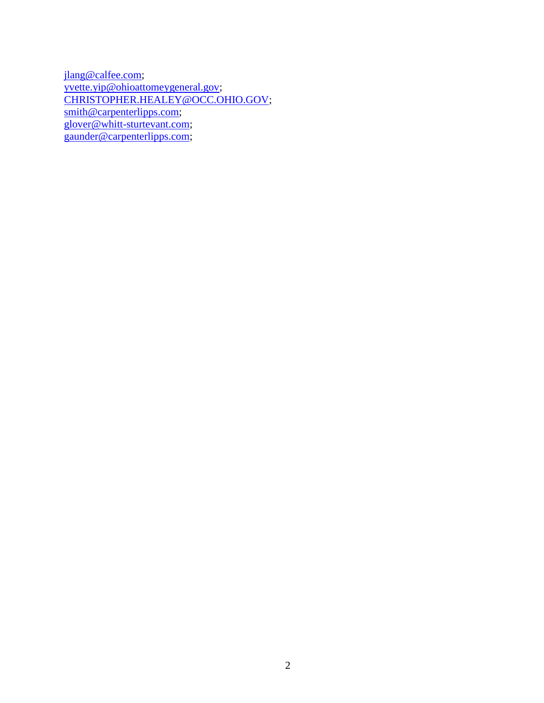[jlang@calfee.com;](mailto:jlang@calfee.com) [yvette.yip@ohioattomeygeneral.gov;](mailto:yvette.yip@ohioattomeygeneral.gov) [CHRISTOPHER.HEALEY@OCC.OHIO.GOV;](mailto:CHRISTOPHER.HEALEY@OCC.OHIO.GOV) [smith@carpenterlipps.com;](mailto:smith@carpenterlipps.com) [glover@whitt-sturtevant.com;](mailto:glover@whitt-sturtevant.com) [gaunder@carpenterlipps.com;](mailto:gaunder@carpenterlipps.com)